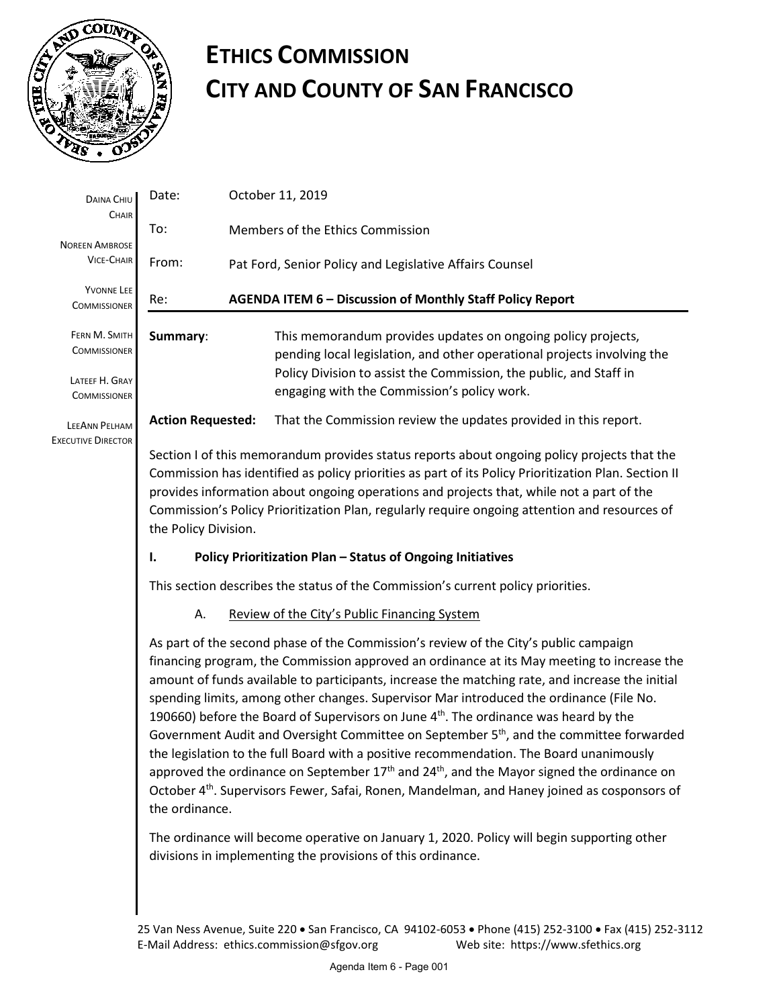

# **ETHICS COMMISSION CITY AND COUNTY OF SAN FRANCISCO**

| DAINA CHIU<br>CHAIR<br><b>NOREEN AMBROSE</b><br><b>VICE-CHAIR</b>             | Date:                                                                                                                                                                                                                                                                                                                                                                                                                                                                                                                                                                                                                                                                                                                                                                                                                                                                                                                                    | October 11, 2019                                                                                                                                                                                                                                             |
|-------------------------------------------------------------------------------|------------------------------------------------------------------------------------------------------------------------------------------------------------------------------------------------------------------------------------------------------------------------------------------------------------------------------------------------------------------------------------------------------------------------------------------------------------------------------------------------------------------------------------------------------------------------------------------------------------------------------------------------------------------------------------------------------------------------------------------------------------------------------------------------------------------------------------------------------------------------------------------------------------------------------------------|--------------------------------------------------------------------------------------------------------------------------------------------------------------------------------------------------------------------------------------------------------------|
|                                                                               | To:<br>Members of the Ethics Commission                                                                                                                                                                                                                                                                                                                                                                                                                                                                                                                                                                                                                                                                                                                                                                                                                                                                                                  |                                                                                                                                                                                                                                                              |
|                                                                               | From:                                                                                                                                                                                                                                                                                                                                                                                                                                                                                                                                                                                                                                                                                                                                                                                                                                                                                                                                    | Pat Ford, Senior Policy and Legislative Affairs Counsel                                                                                                                                                                                                      |
| YVONNE LEE<br><b>COMMISSIONER</b>                                             | AGENDA ITEM 6 - Discussion of Monthly Staff Policy Report<br>Re:                                                                                                                                                                                                                                                                                                                                                                                                                                                                                                                                                                                                                                                                                                                                                                                                                                                                         |                                                                                                                                                                                                                                                              |
| FERN M. SMITH<br><b>COMMISSIONER</b><br>LATEEF H. GRAY<br><b>COMMISSIONER</b> | Summary:                                                                                                                                                                                                                                                                                                                                                                                                                                                                                                                                                                                                                                                                                                                                                                                                                                                                                                                                 | This memorandum provides updates on ongoing policy projects,<br>pending local legislation, and other operational projects involving the<br>Policy Division to assist the Commission, the public, and Staff in<br>engaging with the Commission's policy work. |
| <b>LEEANN PELHAM</b><br><b>EXECUTIVE DIRECTOR</b>                             | <b>Action Requested:</b>                                                                                                                                                                                                                                                                                                                                                                                                                                                                                                                                                                                                                                                                                                                                                                                                                                                                                                                 | That the Commission review the updates provided in this report.                                                                                                                                                                                              |
|                                                                               | Section I of this memorandum provides status reports about ongoing policy projects that the<br>Commission has identified as policy priorities as part of its Policy Prioritization Plan. Section II<br>provides information about ongoing operations and projects that, while not a part of the<br>Commission's Policy Prioritization Plan, regularly require ongoing attention and resources of<br>the Policy Division.                                                                                                                                                                                                                                                                                                                                                                                                                                                                                                                 |                                                                                                                                                                                                                                                              |
|                                                                               | Policy Prioritization Plan - Status of Ongoing Initiatives<br>Ι.                                                                                                                                                                                                                                                                                                                                                                                                                                                                                                                                                                                                                                                                                                                                                                                                                                                                         |                                                                                                                                                                                                                                                              |
|                                                                               | This section describes the status of the Commission's current policy priorities.                                                                                                                                                                                                                                                                                                                                                                                                                                                                                                                                                                                                                                                                                                                                                                                                                                                         |                                                                                                                                                                                                                                                              |
|                                                                               | Α.                                                                                                                                                                                                                                                                                                                                                                                                                                                                                                                                                                                                                                                                                                                                                                                                                                                                                                                                       | Review of the City's Public Financing System                                                                                                                                                                                                                 |
|                                                                               | As part of the second phase of the Commission's review of the City's public campaign<br>financing program, the Commission approved an ordinance at its May meeting to increase the<br>amount of funds available to participants, increase the matching rate, and increase the initial<br>spending limits, among other changes. Supervisor Mar introduced the ordinance (File No.<br>190660) before the Board of Supervisors on June 4 <sup>th</sup> . The ordinance was heard by the<br>Government Audit and Oversight Committee on September 5 <sup>th</sup> , and the committee forwarded<br>the legislation to the full Board with a positive recommendation. The Board unanimously<br>approved the ordinance on September 17 <sup>th</sup> and 24 <sup>th</sup> , and the Mayor signed the ordinance on<br>October 4 <sup>th</sup> . Supervisors Fewer, Safai, Ronen, Mandelman, and Haney joined as cosponsors of<br>the ordinance. |                                                                                                                                                                                                                                                              |
|                                                                               | The ordinance will become operative on January 1, 2020. Policy will begin supporting other<br>divisions in implementing the provisions of this ordinance.                                                                                                                                                                                                                                                                                                                                                                                                                                                                                                                                                                                                                                                                                                                                                                                |                                                                                                                                                                                                                                                              |